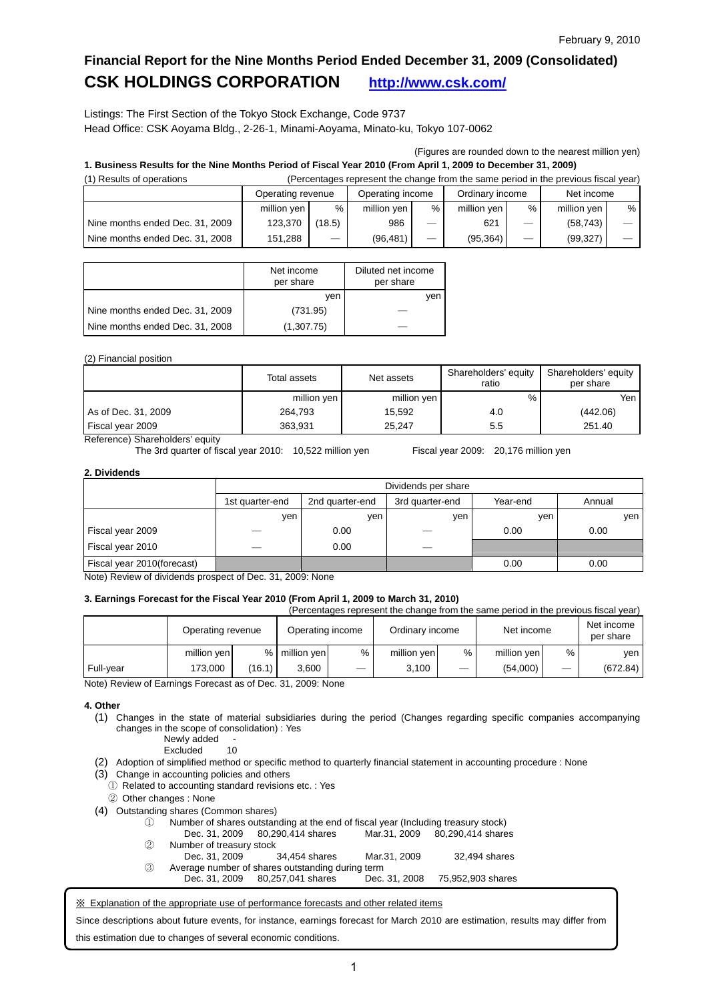## **Financial Report for the Nine Months Period Ended December 31, 2009 (Consolidated) CSK HOLDINGS CORPORATION <http://www.csk.com/>**

Listings: The First Section of the Tokyo Stock Exchange, Code 9737 Head Office: CSK Aoyama Bldg., 2-26-1, Minami-Aoyama, Minato-ku, Tokyo 107-0062

(Figures are rounded down to the nearest million yen)

# **1. Business Results for the Nine Months Period of Fiscal Year 2010 (From April 1, 2009 to December 31, 2009)**

| (1) Results of operations       | (Percentages represent the change from the same period in the previous fiscal year) |                 |             |                          |             |            |             |   |
|---------------------------------|-------------------------------------------------------------------------------------|-----------------|-------------|--------------------------|-------------|------------|-------------|---|
|                                 | Ordinary income<br>Operating income<br>Operating revenue                            |                 |             |                          |             | Net income |             |   |
|                                 | million yen                                                                         | %               | million yen | $\%$                     | million ven | %          | million yen | % |
| Nine months ended Dec. 31, 2009 | 123.370                                                                             | (18.5)          | 986         |                          | 621         |            | (58.743)    |   |
| Nine months ended Dec. 31, 2008 | 151.288                                                                             | $\qquad \qquad$ | (96, 481)   | $\overline{\phantom{m}}$ | (95, 364)   |            | (99, 327)   |   |

|                                 | Net income<br>per share | Diluted net income<br>per share |
|---------------------------------|-------------------------|---------------------------------|
|                                 | ven                     | ven                             |
| Nine months ended Dec. 31, 2009 | (731.95)                |                                 |
| Nine months ended Dec. 31, 2008 | (1,307.75)              |                                 |

#### (2) Financial position

|                     | Total assets | Net assets  | Shareholders' equity<br>ratio | Shareholders' equity<br>per share |
|---------------------|--------------|-------------|-------------------------------|-----------------------------------|
|                     | million yen  | million yen | $\%$                          | Yen                               |
| As of Dec. 31, 2009 | 264.793      | 15.592      | 4.0                           | (442.06)                          |
| Fiscal year 2009    | 363,931      | 25.247      | 5.5                           | 251.40                            |

Reference) Shareholders' equity

The 3rd quarter of fiscal year 2010: 10,522 million yen Fiscal year 2009: 20,176 million yen

#### **2. Dividends**

|                            |                 | Dividends per share |                 |          |        |  |  |
|----------------------------|-----------------|---------------------|-----------------|----------|--------|--|--|
|                            | 1st quarter-end | 2nd quarter-end     | 3rd quarter-end | Year-end | Annual |  |  |
|                            | ven             | ven                 | yen             | ven      | ven    |  |  |
| Fiscal year 2009           |                 | 0.00                |                 | 0.00     | 0.00   |  |  |
| Fiscal year 2010           | ___             | 0.00                |                 |          |        |  |  |
| Fiscal year 2010(forecast) |                 |                     |                 | 0.00     | 0.00   |  |  |

Note) Review of dividends prospect of Dec. 31, 2009: None

### **3. Earnings Forecast for the Fiscal Year 2010 (From April 1, 2009 to March 31, 2010)**

(Percentages represent the change from the same period in the previous fiscal year)

|                                                                                                                                                                                                                                                                                                             | Operating revenue |        | Operating income |   | Ordinary income |   | Net income  |   | Net income<br>per share |
|-------------------------------------------------------------------------------------------------------------------------------------------------------------------------------------------------------------------------------------------------------------------------------------------------------------|-------------------|--------|------------------|---|-----------------|---|-------------|---|-------------------------|
|                                                                                                                                                                                                                                                                                                             | million yen       |        | % million yen    | % | million yen     | % | million yen | % | yen,                    |
| Full-year                                                                                                                                                                                                                                                                                                   | 173.000           | (16.1) | 3.600            |   | 3.100           |   | (54,000)    |   | (672.84)                |
| $\mathbf{r}$ , $\mathbf{r}$ , $\mathbf{r}$ , $\mathbf{r}$ , $\mathbf{r}$ , $\mathbf{r}$ , $\mathbf{r}$ , $\mathbf{r}$ , $\mathbf{r}$ , $\mathbf{r}$ , $\mathbf{r}$ , $\mathbf{r}$ , $\mathbf{r}$ , $\mathbf{r}$ , $\mathbf{r}$ , $\mathbf{r}$ , $\mathbf{r}$ , $\mathbf{r}$ , $\mathbf{r}$ , $\mathbf{r}$ , |                   |        |                  |   |                 |   |             |   |                         |

Note) Review of Earnings Forecast as of Dec. 31, 2009: None

### **4. Other**

- (1) Changes in the state of material subsidiaries during the period (Changes regarding specific companies accompanying changes in the scope of consolidation) : Yes
	- Newly added Excluded 10
- (2) Adoption of simplified method or specific method to quarterly financial statement in accounting procedure : None
- (3) Change in accounting policies and others
- ① Related to accounting standard revisions etc. : Yes
- ② Other changes : None
- (4) Outstanding shares (Common shares)
	- ① Number of shares outstanding at the end of fiscal year (Including treasury stock)
	- Dec. 31, 2009 80,290,414 shares Mar.31, 2009 80,290,414 shares ② Number of treasury stock Dec. 31, 2009 34,454 shares Mar.31, 2009 32,494 shares
	- ③ Average number of shares outstanding during term Dec. 31, 2009 80,257,041 shares Dec. 31, 2008 75,952,903 shares

※ Explanation of the appropriate use of performance forecasts and other related items

Since descriptions about future events, for instance, earnings forecast for March 2010 are estimation, results may differ from this estimation due to changes of several economic conditions.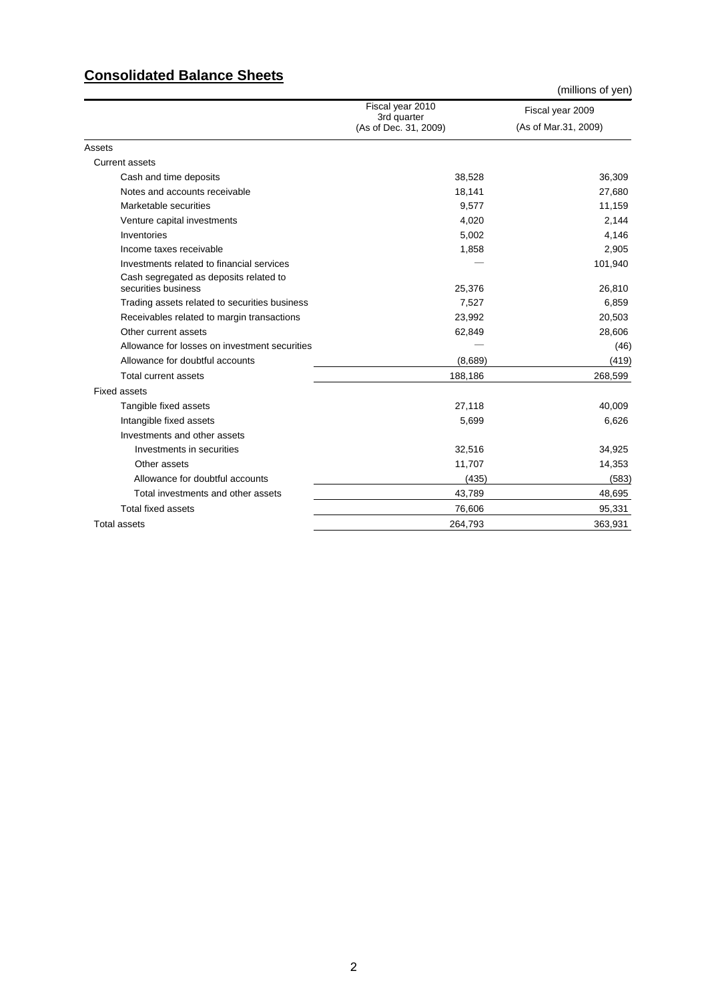# **Consolidated Balance Sheets**

(millions of yen)

|                                                               | Fiscal year 2010                     | Fiscal year 2009     |
|---------------------------------------------------------------|--------------------------------------|----------------------|
|                                                               | 3rd quarter<br>(As of Dec. 31, 2009) | (As of Mar.31, 2009) |
| Assets                                                        |                                      |                      |
| <b>Current assets</b>                                         |                                      |                      |
| Cash and time deposits                                        | 38,528                               | 36,309               |
| Notes and accounts receivable                                 | 18,141                               | 27,680               |
| Marketable securities                                         | 9,577                                | 11,159               |
| Venture capital investments                                   | 4,020                                | 2,144                |
| Inventories                                                   | 5,002                                | 4,146                |
| Income taxes receivable                                       | 1,858                                | 2,905                |
| Investments related to financial services                     |                                      | 101,940              |
| Cash segregated as deposits related to<br>securities business | 25,376                               | 26,810               |
| Trading assets related to securities business                 | 7,527                                | 6,859                |
| Receivables related to margin transactions                    | 23,992                               | 20,503               |
| Other current assets                                          | 62,849                               | 28,606               |
| Allowance for losses on investment securities                 |                                      | (46)                 |
| Allowance for doubtful accounts                               | (8,689)                              | (419)                |
| Total current assets                                          | 188,186                              | 268,599              |
| <b>Fixed assets</b>                                           |                                      |                      |
| Tangible fixed assets                                         | 27,118                               | 40,009               |
| Intangible fixed assets                                       | 5,699                                | 6,626                |
| Investments and other assets                                  |                                      |                      |
| Investments in securities                                     | 32,516                               | 34,925               |
| Other assets                                                  | 11,707                               | 14,353               |
| Allowance for doubtful accounts                               | (435)                                | (583)                |
| Total investments and other assets                            | 43,789                               | 48,695               |
| <b>Total fixed assets</b>                                     | 76,606                               | 95,331               |
| <b>Total assets</b>                                           | 264,793                              | 363,931              |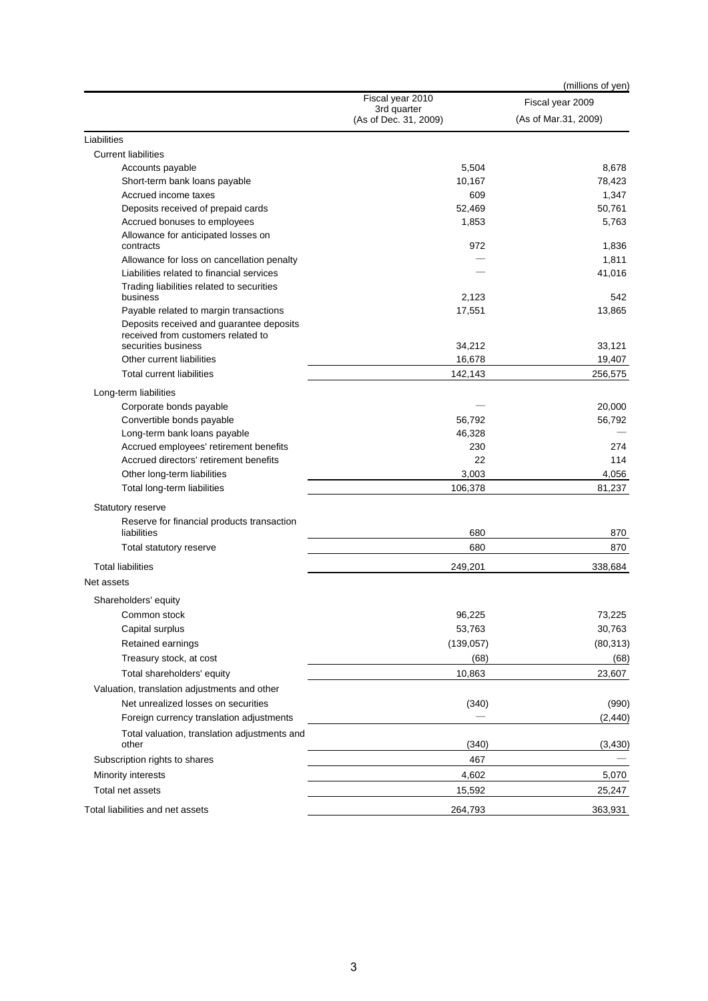|                                                                                |                                      | (millions of yen)    |
|--------------------------------------------------------------------------------|--------------------------------------|----------------------|
|                                                                                | Fiscal year 2010                     | Fiscal year 2009     |
|                                                                                | 3rd quarter<br>(As of Dec. 31, 2009) | (As of Mar.31, 2009) |
| Liabilities                                                                    |                                      |                      |
| <b>Current liabilities</b>                                                     |                                      |                      |
| Accounts payable                                                               | 5,504                                | 8.678                |
| Short-term bank loans payable                                                  | 10,167                               | 78,423               |
| Accrued income taxes                                                           | 609                                  | 1,347                |
| Deposits received of prepaid cards                                             | 52,469                               | 50,761               |
| Accrued bonuses to employees                                                   | 1,853                                | 5,763                |
| Allowance for anticipated losses on<br>contracts                               | 972                                  | 1,836                |
| Allowance for loss on cancellation penalty                                     |                                      | 1,811                |
| Liabilities related to financial services                                      |                                      | 41,016               |
| Trading liabilities related to securities                                      |                                      |                      |
| business                                                                       | 2,123                                | 542                  |
| Payable related to margin transactions                                         | 17,551                               | 13,865               |
| Deposits received and guarantee deposits<br>received from customers related to |                                      |                      |
| securities business                                                            | 34,212                               | 33,121               |
| Other current liabilities                                                      | 16,678                               | 19,407               |
| Total current liabilities                                                      | 142,143                              | 256,575              |
|                                                                                |                                      |                      |
| Long-term liabilities<br>Corporate bonds payable                               |                                      | 20,000               |
|                                                                                | 56,792                               | 56,792               |
| Convertible bonds payable<br>Long-term bank loans payable                      | 46,328                               |                      |
| Accrued employees' retirement benefits                                         | 230                                  | 274                  |
| Accrued directors' retirement benefits                                         | 22                                   | 114                  |
| Other long-term liabilities                                                    | 3,003                                | 4,056                |
| Total long-term liabilities                                                    | 106,378                              | 81,237               |
|                                                                                |                                      |                      |
| <b>Statutory reserve</b>                                                       |                                      |                      |
| Reserve for financial products transaction<br>liabilities                      | 680                                  | 870                  |
| Total statutory reserve                                                        | 680                                  | 870                  |
| <b>Total liabilities</b>                                                       | 249,201                              | 338,684              |
| Net assets                                                                     |                                      |                      |
| Shareholders' equity                                                           |                                      |                      |
| Common stock                                                                   | 96,225                               | 73,225               |
| Capital surplus                                                                | 53,763                               | 30,763               |
| Retained earnings                                                              | (139, 057)                           | (80, 313)            |
| Treasury stock, at cost                                                        | (68)                                 | (68)                 |
|                                                                                |                                      |                      |
| Total shareholders' equity                                                     | 10,863                               | 23,607               |
| Valuation, translation adjustments and other                                   |                                      |                      |
| Net unrealized losses on securities                                            | (340)                                | (990)                |
| Foreign currency translation adjustments                                       |                                      | (2, 440)             |
| Total valuation, translation adjustments and<br>other                          | (340)                                | (3, 430)             |
| Subscription rights to shares                                                  | 467                                  |                      |
| Minority interests                                                             | 4,602                                | 5,070                |
| Total net assets                                                               | 15,592                               | 25,247               |
|                                                                                |                                      |                      |
| Total liabilities and net assets                                               | 264,793                              | 363,931              |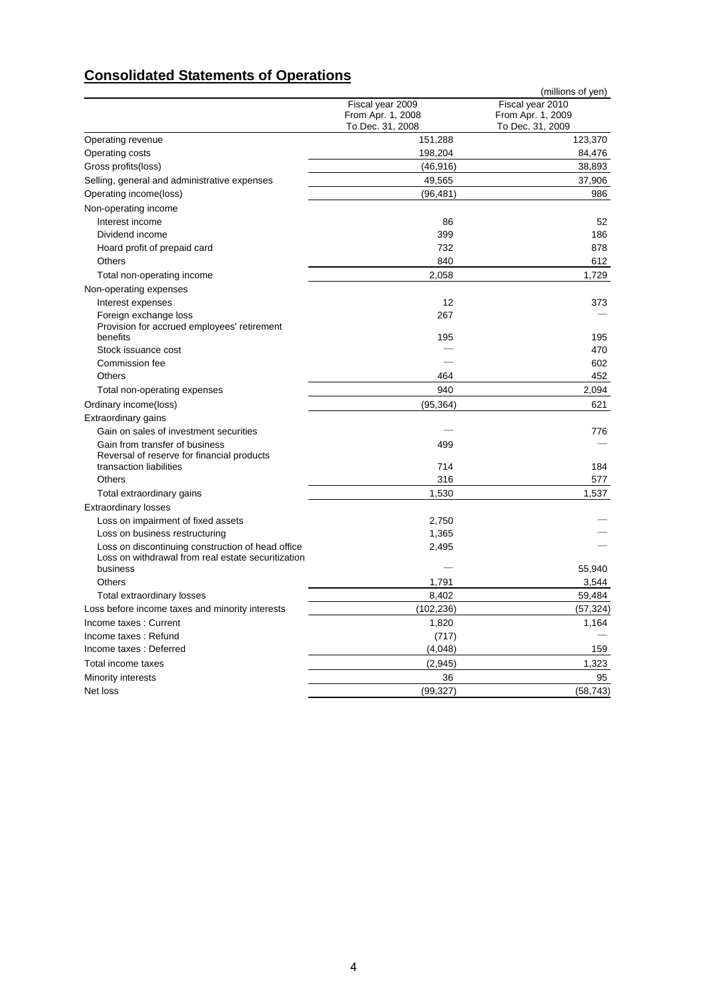## **Consolidated Statements of Operations**

|                                                                       |                   | (millions of yen) |
|-----------------------------------------------------------------------|-------------------|-------------------|
|                                                                       | Fiscal year 2009  | Fiscal year 2010  |
|                                                                       | From Apr. 1, 2008 | From Apr. 1, 2009 |
|                                                                       | To Dec. 31, 2008  | To Dec. 31, 2009  |
| Operating revenue                                                     | 151,288           | 123,370           |
| Operating costs                                                       | 198,204           | 84,476            |
| Gross profits(loss)                                                   | (46, 916)         | 38,893            |
| Selling, general and administrative expenses                          | 49,565            | 37,906            |
| Operating income(loss)                                                | (96, 481)         | 986               |
| Non-operating income                                                  |                   |                   |
| Interest income                                                       | 86                | 52                |
| Dividend income                                                       | 399               | 186               |
| Hoard profit of prepaid card                                          | 732               | 878               |
| Others                                                                | 840               | 612               |
| Total non-operating income                                            | 2,058             | 1,729             |
| Non-operating expenses                                                |                   |                   |
| Interest expenses                                                     | 12                | 373               |
| Foreign exchange loss                                                 | 267               |                   |
| Provision for accrued employees' retirement                           |                   |                   |
| benefits                                                              | 195               | 195               |
| Stock issuance cost                                                   |                   | 470               |
| Commission fee                                                        |                   | 602               |
| <b>Others</b>                                                         | 464               | 452               |
| Total non-operating expenses                                          | 940               | 2,094             |
| Ordinary income(loss)                                                 | (95, 364)         | 621               |
| Extraordinary gains                                                   |                   |                   |
| Gain on sales of investment securities                                |                   | 776               |
| Gain from transfer of business                                        | 499               |                   |
| Reversal of reserve for financial products<br>transaction liabilities | 714               | 184               |
| <b>Others</b>                                                         | 316               | 577               |
| Total extraordinary gains                                             | 1,530             | 1,537             |
|                                                                       |                   |                   |
| <b>Extraordinary losses</b>                                           |                   |                   |
| Loss on impairment of fixed assets<br>Loss on business restructuring  | 2,750<br>1,365    |                   |
| Loss on discontinuing construction of head office                     | 2,495             |                   |
| Loss on withdrawal from real estate securitization                    |                   |                   |
| business                                                              |                   | 55.940            |
| <b>Others</b>                                                         | 1,791             | 3,544             |
| Total extraordinary losses                                            | 8,402             | 59,484            |
| Loss before income taxes and minority interests                       | (102, 236)        | (57, 324)         |
| Income taxes: Current                                                 | 1,820             | 1,164             |
| Income taxes: Refund                                                  | (717)             |                   |
| Income taxes: Deferred                                                | (4,048)           | 159               |
| Total income taxes                                                    | (2,945)           | 1,323             |
| <b>Minority interests</b>                                             | 36                | 95                |
| Net loss                                                              | (99, 327)         | (58, 743)         |
|                                                                       |                   |                   |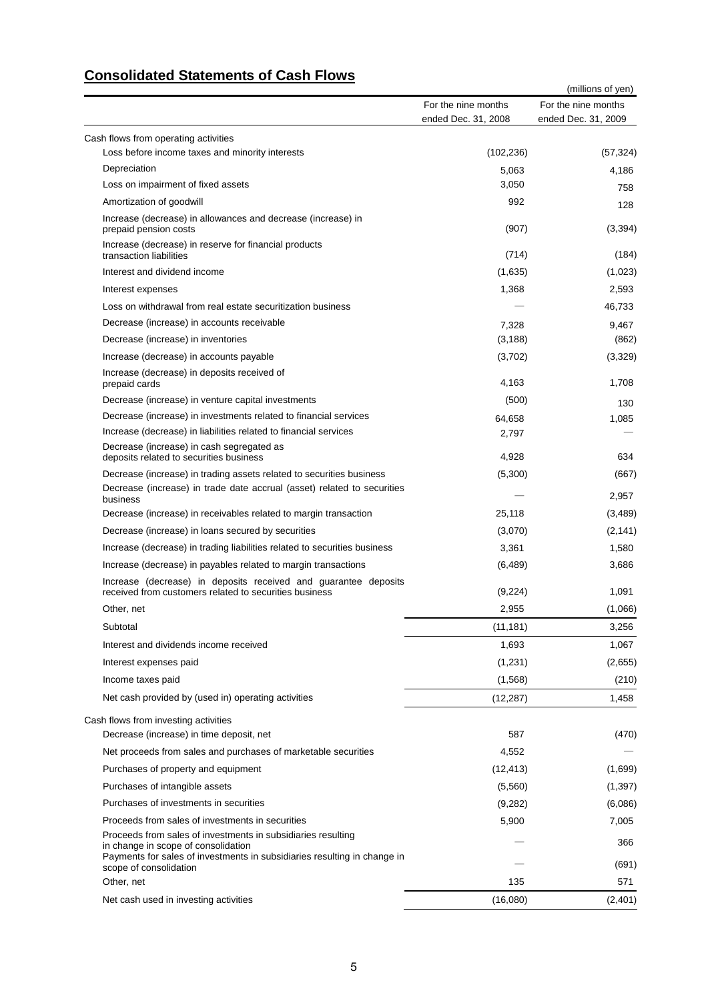# **Consolidated Statements of Cash Flows**

| "                                                                                                                         |                                            | (millions of yen)                          |
|---------------------------------------------------------------------------------------------------------------------------|--------------------------------------------|--------------------------------------------|
|                                                                                                                           | For the nine months<br>ended Dec. 31, 2008 | For the nine months<br>ended Dec. 31, 2009 |
| Cash flows from operating activities                                                                                      |                                            |                                            |
| Loss before income taxes and minority interests                                                                           | (102, 236)                                 | (57, 324)                                  |
| Depreciation                                                                                                              | 5,063                                      | 4,186                                      |
| Loss on impairment of fixed assets                                                                                        | 3,050                                      | 758                                        |
| Amortization of goodwill                                                                                                  | 992                                        | 128                                        |
| Increase (decrease) in allowances and decrease (increase) in<br>prepaid pension costs                                     | (907)                                      | (3, 394)                                   |
| Increase (decrease) in reserve for financial products<br>transaction liabilities                                          | (714)                                      | (184)                                      |
| Interest and dividend income                                                                                              | (1,635)                                    | (1,023)                                    |
| Interest expenses                                                                                                         | 1,368                                      | 2,593                                      |
| Loss on withdrawal from real estate securitization business                                                               |                                            | 46,733                                     |
| Decrease (increase) in accounts receivable                                                                                | 7,328                                      | 9,467                                      |
| Decrease (increase) in inventories                                                                                        | (3, 188)                                   | (862)                                      |
| Increase (decrease) in accounts payable                                                                                   | (3,702)                                    | (3,329)                                    |
| Increase (decrease) in deposits received of<br>prepaid cards                                                              | 4,163                                      | 1,708                                      |
| Decrease (increase) in venture capital investments                                                                        | (500)                                      | 130                                        |
| Decrease (increase) in investments related to financial services                                                          | 64,658                                     | 1,085                                      |
| Increase (decrease) in liabilities related to financial services                                                          | 2,797                                      |                                            |
| Decrease (increase) in cash segregated as<br>deposits related to securities business                                      | 4,928                                      | 634                                        |
| Decrease (increase) in trading assets related to securities business                                                      | (5,300)                                    | (667)                                      |
| Decrease (increase) in trade date accrual (asset) related to securities<br>business                                       |                                            | 2,957                                      |
| Decrease (increase) in receivables related to margin transaction                                                          | 25,118                                     | (3,489)                                    |
| Decrease (increase) in loans secured by securities                                                                        | (3,070)                                    | (2, 141)                                   |
| Increase (decrease) in trading liabilities related to securities business                                                 | 3,361                                      | 1,580                                      |
| Increase (decrease) in payables related to margin transactions                                                            | (6, 489)                                   | 3,686                                      |
| Increase (decrease) in deposits received and guarantee deposits<br>received from customers related to securities business | (9,224)                                    | 1,091                                      |
| Other, net                                                                                                                | 2,955                                      | (1,066)                                    |
| Subtotal                                                                                                                  | (11, 181)                                  | 3,256                                      |
| Interest and dividends income received                                                                                    | 1,693                                      | 1,067                                      |
| Interest expenses paid                                                                                                    | (1,231)                                    | (2,655)                                    |
|                                                                                                                           |                                            |                                            |
| Income taxes paid                                                                                                         | (1,568)                                    | (210)                                      |
| Net cash provided by (used in) operating activities                                                                       | (12, 287)                                  | 1,458                                      |
| Cash flows from investing activities<br>Decrease (increase) in time deposit, net                                          | 587                                        | (470)                                      |
| Net proceeds from sales and purchases of marketable securities                                                            | 4,552                                      |                                            |
| Purchases of property and equipment                                                                                       | (12, 413)                                  | (1,699)                                    |
| Purchases of intangible assets                                                                                            | (5,560)                                    | (1, 397)                                   |
| Purchases of investments in securities                                                                                    | (9,282)                                    | (6,086)                                    |
| Proceeds from sales of investments in securities                                                                          | 5,900                                      | 7,005                                      |
| Proceeds from sales of investments in subsidiaries resulting<br>in change in scope of consolidation                       |                                            | 366                                        |
| Payments for sales of investments in subsidiaries resulting in change in<br>scope of consolidation                        |                                            | (691)                                      |
| Other, net                                                                                                                | 135                                        | 571                                        |
| Net cash used in investing activities                                                                                     | (16,080)                                   | (2,401)                                    |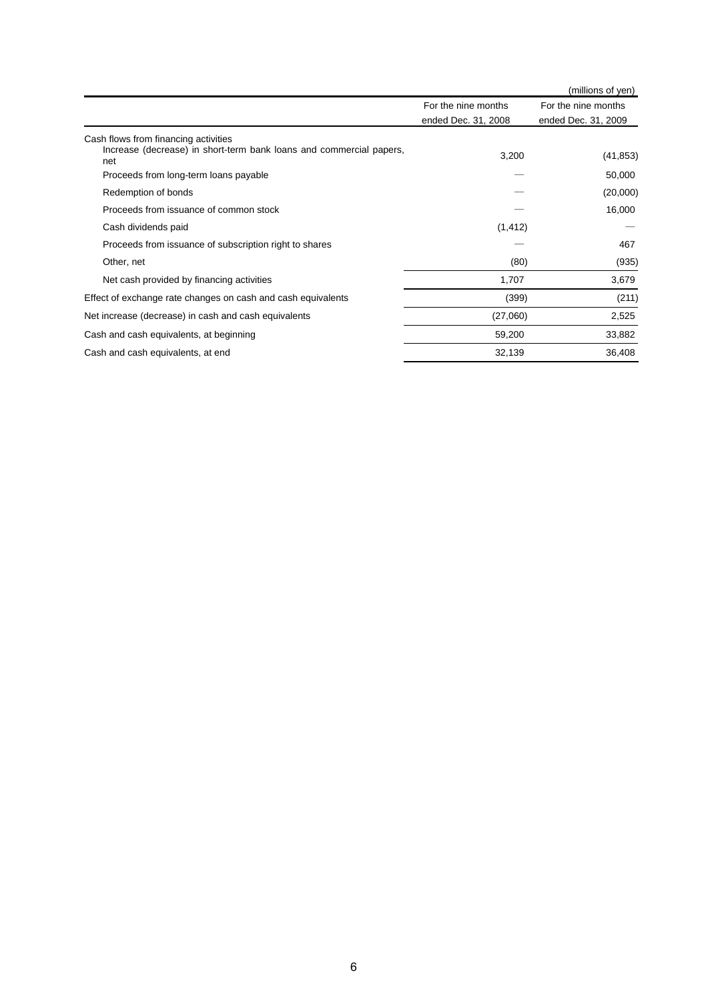|                                                                                                                    |                                            | (millions of yen)                          |
|--------------------------------------------------------------------------------------------------------------------|--------------------------------------------|--------------------------------------------|
|                                                                                                                    | For the nine months<br>ended Dec. 31, 2008 | For the nine months<br>ended Dec. 31, 2009 |
| Cash flows from financing activities<br>Increase (decrease) in short-term bank loans and commercial papers,<br>net | 3,200                                      | (41, 853)                                  |
| Proceeds from long-term loans payable                                                                              |                                            | 50,000                                     |
| Redemption of bonds                                                                                                |                                            | (20,000)                                   |
| Proceeds from issuance of common stock                                                                             |                                            | 16,000                                     |
| Cash dividends paid                                                                                                | (1, 412)                                   |                                            |
| Proceeds from issuance of subscription right to shares                                                             |                                            | 467                                        |
| Other, net                                                                                                         | (80)                                       | (935)                                      |
| Net cash provided by financing activities                                                                          | 1,707                                      | 3,679                                      |
| Effect of exchange rate changes on cash and cash equivalents                                                       | (399)                                      | (211)                                      |
| Net increase (decrease) in cash and cash equivalents                                                               | (27,060)                                   | 2,525                                      |
| Cash and cash equivalents, at beginning                                                                            | 59,200                                     | 33,882                                     |
| Cash and cash equivalents, at end                                                                                  | 32,139                                     | 36,408                                     |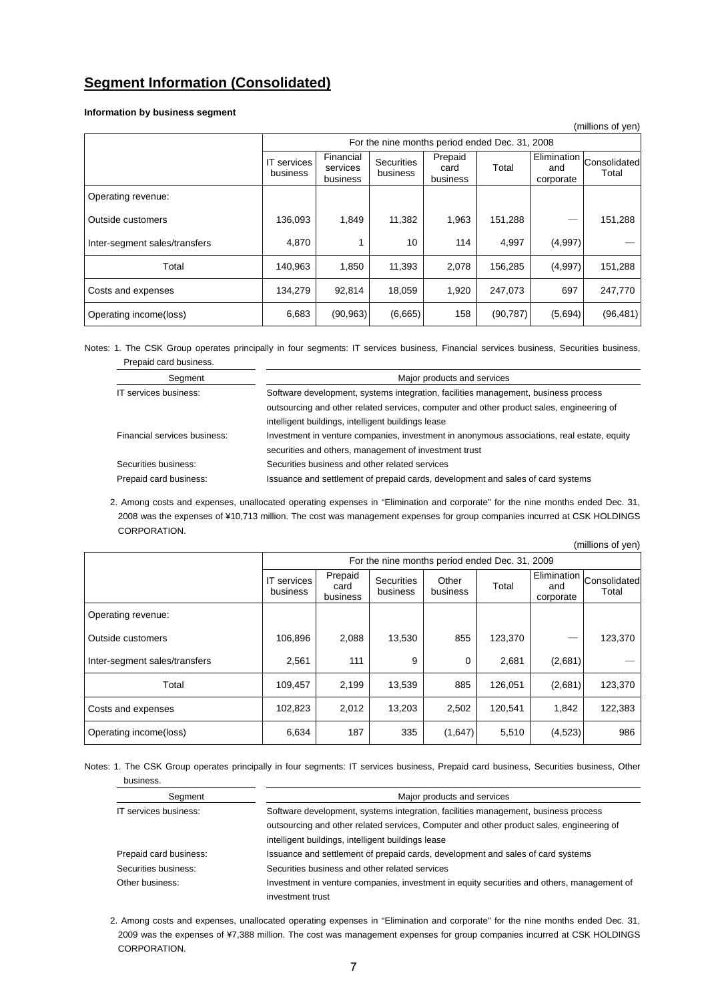### **Segment Information (Consolidated)**

### **Information by business segment**

|                               | For the nine months period ended Dec. 31, 2008 |                                   |                               |                             |           |                                        |                       |
|-------------------------------|------------------------------------------------|-----------------------------------|-------------------------------|-----------------------------|-----------|----------------------------------------|-----------------------|
|                               | <b>IT</b> services<br>business                 | Financial<br>services<br>business | <b>Securities</b><br>business | Prepaid<br>card<br>business | Total     | <b>Elimination</b><br>and<br>corporate | Consolidated<br>Total |
| Operating revenue:            |                                                |                                   |                               |                             |           |                                        |                       |
| Outside customers             | 136,093                                        | 1,849                             | 11,382                        | 1,963                       | 151,288   |                                        | 151,288               |
| Inter-segment sales/transfers | 4,870                                          |                                   | 10                            | 114                         | 4,997     | (4,997)                                |                       |
| Total                         | 140,963                                        | 1,850                             | 11,393                        | 2,078                       | 156,285   | (4,997)                                | 151,288               |
| Costs and expenses            | 134,279                                        | 92,814                            | 18,059                        | 1,920                       | 247,073   | 697                                    | 247,770               |
| Operating income(loss)        | 6,683                                          | (90, 963)                         | (6,665)                       | 158                         | (90, 787) | (5,694)                                | (96, 481)             |

(millions of yen)

Notes: 1. The CSK Group operates principally in four segments: IT services business, Financial services business, Securities business, Prepaid card business.

| Segment                      | Major products and services                                                                |
|------------------------------|--------------------------------------------------------------------------------------------|
| IT services business:        | Software development, systems integration, facilities management, business process         |
|                              | outsourcing and other related services, computer and other product sales, engineering of   |
|                              | intelligent buildings, intelligent buildings lease                                         |
| Financial services business: | Investment in venture companies, investment in anonymous associations, real estate, equity |
|                              | securities and others, management of investment trust                                      |
| Securities business:         | Securities business and other related services                                             |
| Prepaid card business:       | Issuance and settlement of prepaid cards, development and sales of card systems            |
|                              |                                                                                            |

2. Among costs and expenses, unallocated operating expenses in "Elimination and corporate" for the nine months ended Dec. 31, 2008 was the expenses of ¥10,713 million. The cost was management expenses for group companies incurred at CSK HOLDINGS CORPORATION.

|                               |                                                |                             |                        |                   |         |                  | (millions of yen)                 |
|-------------------------------|------------------------------------------------|-----------------------------|------------------------|-------------------|---------|------------------|-----------------------------------|
|                               | For the nine months period ended Dec. 31, 2009 |                             |                        |                   |         |                  |                                   |
|                               | <b>IT</b> services<br>business                 | Prepaid<br>card<br>business | Securities<br>business | Other<br>business | Total   | and<br>corporate | Elimination Consolidated<br>Total |
| Operating revenue:            |                                                |                             |                        |                   |         |                  |                                   |
| Outside customers             | 106.896                                        | 2,088                       | 13,530                 | 855               | 123,370 |                  | 123,370                           |
| Inter-segment sales/transfers | 2,561                                          | 111                         | 9                      | 0                 | 2,681   | (2,681)          |                                   |
| Total                         | 109,457                                        | 2,199                       | 13,539                 | 885               | 126,051 | (2,681)          | 123,370                           |
| Costs and expenses            | 102,823                                        | 2,012                       | 13,203                 | 2,502             | 120,541 | 1,842            | 122,383                           |
| Operating income(loss)        | 6,634                                          | 187                         | 335                    | (1,647)           | 5,510   | (4,523)          | 986                               |

Notes: 1. The CSK Group operates principally in four segments: IT services business, Prepaid card business, Securities business, Other business.

| Segment                | Major products and services                                                                |  |  |  |  |
|------------------------|--------------------------------------------------------------------------------------------|--|--|--|--|
| IT services business:  | Software development, systems integration, facilities management, business process         |  |  |  |  |
|                        | outsourcing and other related services, Computer and other product sales, engineering of   |  |  |  |  |
|                        | intelligent buildings, intelligent buildings lease                                         |  |  |  |  |
| Prepaid card business: | Issuance and settlement of prepaid cards, development and sales of card systems            |  |  |  |  |
| Securities business:   | Securities business and other related services                                             |  |  |  |  |
| Other business:        | Investment in venture companies, investment in equity securities and others, management of |  |  |  |  |
|                        | investment trust                                                                           |  |  |  |  |
|                        |                                                                                            |  |  |  |  |

2. Among costs and expenses, unallocated operating expenses in "Elimination and corporate" for the nine months ended Dec. 31, 2009 was the expenses of ¥7,388 million. The cost was management expenses for group companies incurred at CSK HOLDINGS CORPORATION.